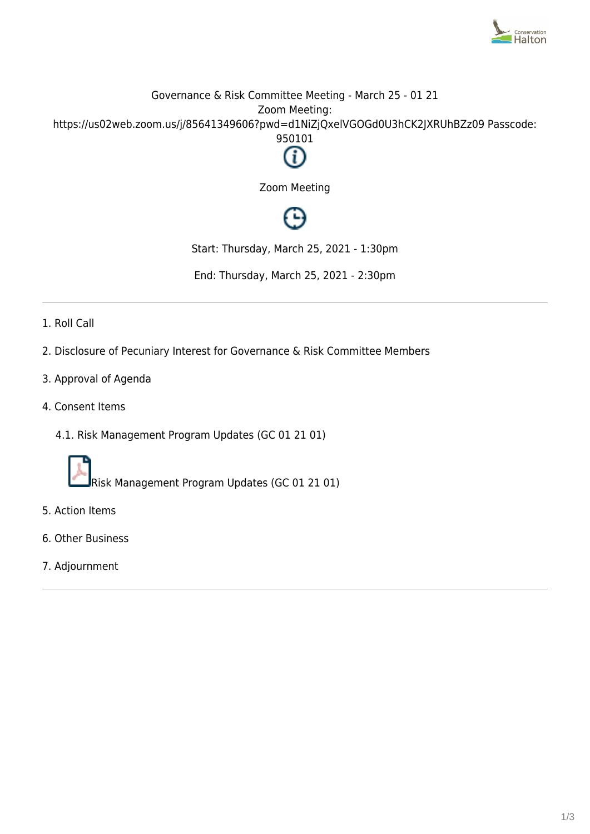

## Governance & Risk Committee Meeting - March 25 - 01 21 Zoom Meeting: https://us02web.zoom.us/j/85641349606?pwd=d1NiZjQxelVGOGd0U3hCK2JXRUhBZz09 Passcode: 950101



Zoom Meeting

# ∩

Start: Thursday, March 25, 2021 - 1:30pm

End: Thursday, March 25, 2021 - 2:30pm

- 1. Roll Call
- 2. Disclosure of Pecuniary Interest for Governance & Risk Committee Members
- 3. Approval of Agenda
- 4. Consent Items
	- 4.1. Risk Management Program Updates (GC 01 21 01)



Risk Management Program Updates (GC 01 21 01)

- 5. Action Items
- 6. Other Business
- 7. Adjournment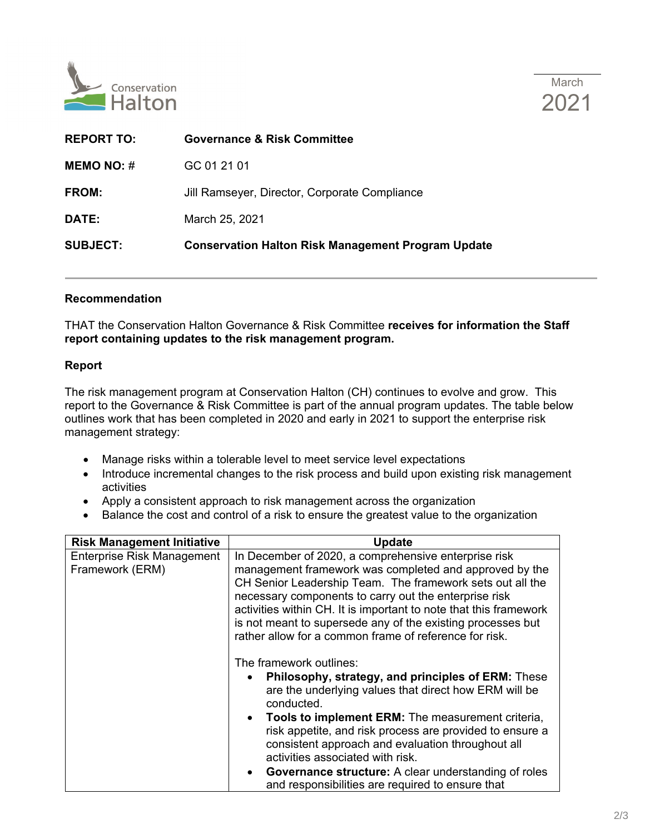



| <b>Governance &amp; Risk Committee</b>                    |
|-----------------------------------------------------------|
| GC 01 21 01                                               |
| Jill Ramseyer, Director, Corporate Compliance             |
| March 25, 2021                                            |
| <b>Conservation Halton Risk Management Program Update</b> |
|                                                           |

### **Recommendation**

THAT the Conservation Halton Governance & Risk Committee **receives for information the Staff report containing updates to the risk management program.** 

#### **Report**

The risk management program at Conservation Halton (CH) continues to evolve and grow. This report to the Governance & Risk Committee is part of the annual program updates. The table below outlines work that has been completed in 2020 and early in 2021 to support the enterprise risk management strategy:

- Manage risks within a tolerable level to meet service level expectations
- Introduce incremental changes to the risk process and build upon existing risk management activities
- Apply a consistent approach to risk management across the organization
- Balance the cost and control of a risk to ensure the greatest value to the organization

| <b>Risk Management Initiative</b>                    | <b>Update</b>                                                                                                                                                                                                                                                                                                                                                                                                                                                                     |
|------------------------------------------------------|-----------------------------------------------------------------------------------------------------------------------------------------------------------------------------------------------------------------------------------------------------------------------------------------------------------------------------------------------------------------------------------------------------------------------------------------------------------------------------------|
| <b>Enterprise Risk Management</b><br>Framework (ERM) | In December of 2020, a comprehensive enterprise risk<br>management framework was completed and approved by the<br>CH Senior Leadership Team. The framework sets out all the<br>necessary components to carry out the enterprise risk<br>activities within CH. It is important to note that this framework<br>is not meant to supersede any of the existing processes but<br>rather allow for a common frame of reference for risk.                                                |
|                                                      | The framework outlines:<br>Philosophy, strategy, and principles of ERM: These<br>are the underlying values that direct how ERM will be<br>conducted.<br>Tools to implement ERM: The measurement criteria,<br>risk appetite, and risk process are provided to ensure a<br>consistent approach and evaluation throughout all<br>activities associated with risk.<br><b>Governance structure:</b> A clear understanding of roles<br>and responsibilities are required to ensure that |